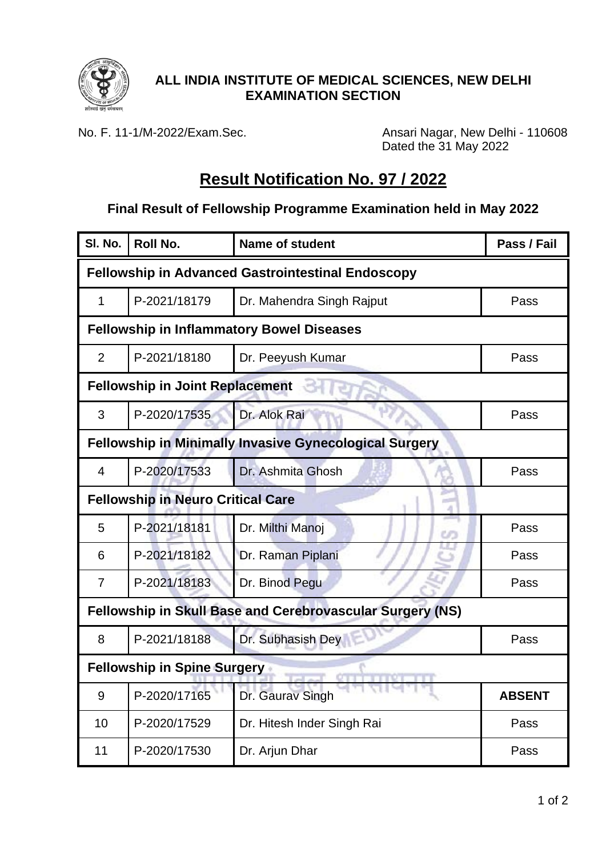

### **ALL INDIA INSTITUTE OF MEDICAL SCIENCES, NEW DELHI EXAMINATION SECTION**

No. F. 11-1/M-2022/Exam.Sec. Ansari Nagar, New Delhi - 110608 Dated the 31 May 2022

# **Result Notification No. 97 / 2022**

#### **Final Result of Fellowship Programme Examination held in May 2022**

| SI. No.                                                       | <b>Roll No.</b> | <b>Name of student</b>               | Pass / Fail   |  |
|---------------------------------------------------------------|-----------------|--------------------------------------|---------------|--|
| <b>Fellowship in Advanced Gastrointestinal Endoscopy</b>      |                 |                                      |               |  |
| 1                                                             | P-2021/18179    | Dr. Mahendra Singh Rajput            | Pass          |  |
| <b>Fellowship in Inflammatory Bowel Diseases</b>              |                 |                                      |               |  |
| $\overline{2}$                                                | P-2021/18180    | Dr. Peeyush Kumar                    | Pass          |  |
| <b>Fellowship in Joint Replacement</b>                        |                 |                                      |               |  |
| 3                                                             | P-2020/17535    | Dr. Alok Rai                         | Pass          |  |
| <b>Fellowship in Minimally Invasive Gynecological Surgery</b> |                 |                                      |               |  |
| 4                                                             | P-2020/17533    | Dr. Ashmita Ghosh                    | Pass          |  |
| <b>Fellowship in Neuro Critical Care</b>                      |                 |                                      |               |  |
| 5                                                             | P-2021/18181    | Dr. Milthi Manoj                     | Pass          |  |
| 6                                                             | P-2021/18182    | Dr. Raman Piplani                    | Pass          |  |
| 7                                                             | P-2021/18183    | Dr. Binod Pegu                       | Pass          |  |
| Fellowship in Skull Base and Cerebrovascular Surgery (NS)     |                 |                                      |               |  |
| 8                                                             | P-2021/18188    | Dr. Subhasish Dey                    | Pass          |  |
| <b>Fellowship in Spine Surgery</b>                            |                 |                                      |               |  |
| 9                                                             | P-2020/17165    | 2012/07/29 20:20<br>Dr. Gaurav Singh | <b>ABSENT</b> |  |
| 10                                                            | P-2020/17529    | Dr. Hitesh Inder Singh Rai           | Pass          |  |
| 11                                                            | P-2020/17530    | Dr. Arjun Dhar                       | Pass          |  |